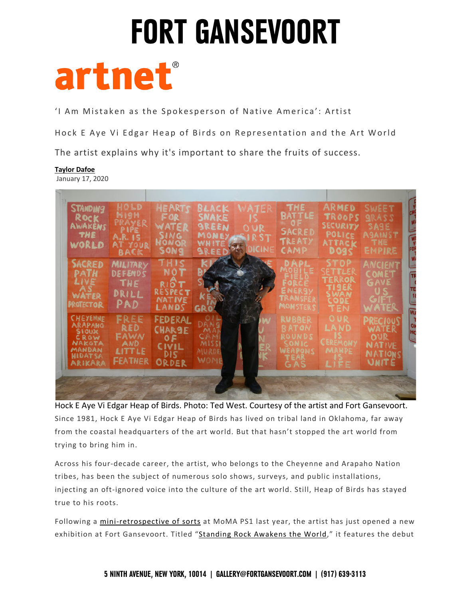

'I Am Mistaken as the Spokesperson of Native America': Artist

Hock E Aye Vi Edgar Heap of Birds on Representation and the Art World

The artist explains why it's important to share the fruits of success.

#### **Taylor Dafoe**

January 17, 2020

| <b>STANDING</b><br>ROCK<br>AWAKENS<br>THE<br>WORLD                                                         | HOLD<br>N19H<br>RAYER<br>PIPE<br>A.R. 15<br>AT YOUR<br><b>BACK</b> | <b>HEARTS</b><br>FOR<br>WATER<br><b>SING</b><br>HOWOR<br>SONG          | BLACK<br>SNAKE<br><b>SREEN</b><br>MONEY<br>WHITE<br><b>SREED</b> | WATER<br>OUR<br>SIRST<br>DICINE | <b>THE</b><br><b>BATTLE</b><br><b>SACRED</b><br><b>TREATY</b><br>CAMP     | ARMED<br>TROOPS<br>SECURITY<br>POLICE<br>ATTACK<br><b>DO95</b>          | <b>SWEET</b><br><b>GRASS</b><br><b>SAGE</b><br><b>AGAINST</b><br><b>THE</b><br>EMPIRE |
|------------------------------------------------------------------------------------------------------------|--------------------------------------------------------------------|------------------------------------------------------------------------|------------------------------------------------------------------|---------------------------------|---------------------------------------------------------------------------|-------------------------------------------------------------------------|---------------------------------------------------------------------------------------|
| <b>SACRED</b><br>PATH<br><b>LIVE</b><br><b>WATER</b><br><b>PROTECTOR</b>                                   | <b>MILITARY</b><br>DEFENDS<br>THE<br>DRILL<br><b>PAD</b>           | THIS<br>NOT<br>RIOT<br>RESPECT<br>NATIVE<br>LANDS                      | GR                                                               |                                 | <b>10BILE</b><br>ENERSY<br>TRANSFER<br>MONSTERS                           | <b>STOP</b><br>SETTLER<br>TERROR<br>ti jer<br><b>CODE</b><br><b>TEN</b> | <b>ANCIENT</b><br>COMET<br>GAVE<br>GIF<br>WATER                                       |
| <b>CHEAENNE</b><br><b>ARAPAHO</b><br>STOUX<br>CROW<br><b>NAKGTA</b><br>MANDAN<br><b>HIDATSA</b><br>ARIKARA | FREE<br><b>RED</b><br>FAWN<br>AND<br>LITTLE<br><b>FEATHER</b>      | <b>FEDERAL</b><br><b>CHAR9E</b><br>0F<br><b>CIVIL</b><br>DIS.<br>ORDER | Da<br>MAE<br>CAM<br>MISSI<br><b>MURDE</b><br>WOME                |                                 | <b>RUBBER</b><br><b>BATOM</b><br>ROUNDS<br><b>SONIC</b><br>WEAPONS<br>GAS | OUR<br><b>LAND</b><br>CEREMONY<br><b>MAHPE</b><br>LIFE                  | <b>PRECIOUS</b><br>WATER<br>OUR<br><b>NATIVE</b><br>NATIONS<br>UNITE                  |

 Hock E Aye Vi Edgar Heap of Birds. Photo: Ted West. Courtesy of the artist and Fort Gansevoort. Since 1981, Hock E Aye Vi Edgar Heap of Birds has lived on tribal land in Oklahoma, far away from the coastal headquarters of the art world. But that hasn't stopped the art world from trying to bring him in.

 Across his four-decade career, the artist, who belongs to the Cheyenne and Arapaho Nation tribes, has been the subject of numerous solo shows, surveys, and public installations, true to his roots. injecting an oft-ignored voice into the culture of the art world. Still, Heap of Birds has stayed

Following a mini-retrospective of sorts at MoMA PS1 last year, the artist has just opened a new exhibition at Fort Gansevoort. Titled "<u>Standing Rock Awakens the World</u>," it features the debut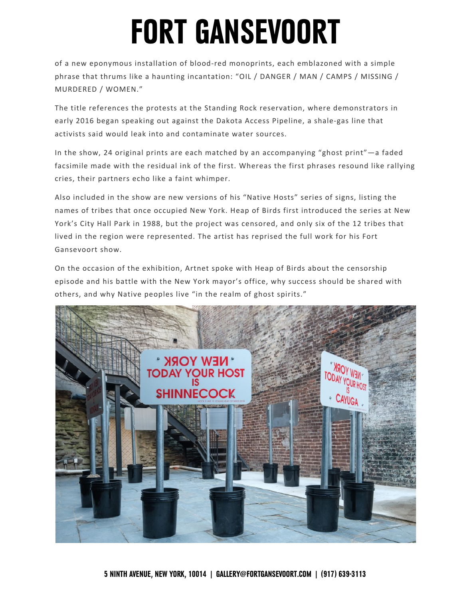of a new eponymous installation of blood-red monoprints, each emblazoned with a simple phrase that thrums like a haunting incantation: "OIL / DANGER / MAN / CAMPS / MISSING / MURDERED / WOMEN."

 The title references the protests at the Standing Rock reservation, where demonstrators in early 2016 began speaking out against the Dakota Access Pipeline, a shale-gas line that activists said would leak into and contaminate water sources.

 facsimile made with the residual ink of the first. Whereas the first phrases resound like rallying cries, their partners echo like a faint whimper. In the show, 24 original prints are each matched by an accompanying "ghost print"—a faded

 Also included in the show are new versions of his "Native Hosts" series of signs, listing the names of tribes that once occupied New York. Heap of Birds first introduced the series at New York's City Hall Park in 1988, but the project was censored, and only six of the 12 tribes that lived in the region were represented. The artist has reprised the full work for his Fort Gansevoort show.

 On the occasion of the exhibition, Artnet spoke with Heap of Birds about the censorship episode and his battle with the New York mayor's office, why success should be shared with others, and why Native peoples live "in the realm of ghost spirits."

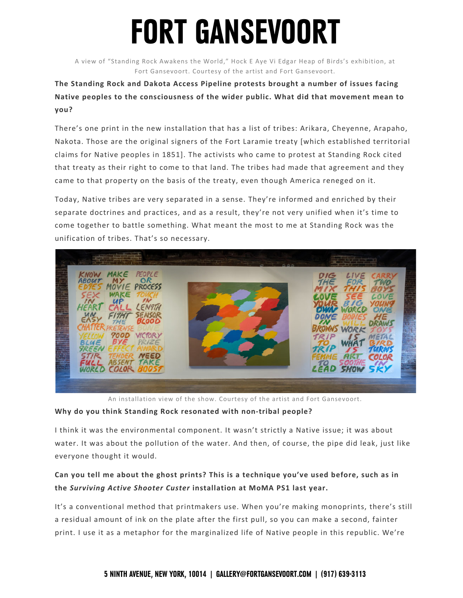A view of "Standing Rock Awakens the World," Hock E Aye Vi Edgar Heap of Birds's exhibition, at Fort Gansevoort. Courtesy of the artist and Fort Gansevoort.

### **The Standing Rock and Dakota Access Pipeline protests brought a number of issues facing Native peoples to the consciousness of the wider public. What did that movement mean to you?**

 There's one print in the new installation that has a list of tribes: Arikara, Cheyenne, Arapaho, Nakota. Those are the original signers of the Fort Laramie treaty [which established territorial claims for Native peoples in 1851]. The activists who came to protest at Standing Rock cited that treaty as their right to come to that land. The tribes had made that agreement and they came to that property on the basis of the treaty, even though America reneged on it.

 Today, Native tribes are very separated in a sense. They're informed and enriched by their separate doctrines and practices, and as a result, they're not very unified when it's time to come together to battle something. What meant the most to me at Standing Rock was the unification of tribes. That's so necessary.



An installation view of the show. Courtesy of the artist and Fort Gansevoort.

#### **Why do you think Standing Rock resonated with non-tribal people?**

 water. It was about the pollution of the water. And then, of course, the pipe did leak, just like everyone thought it would. I think it was the environmental component. It wasn't strictly a Native issue; it was about

### **Can you tell me about the ghost prints? This is a technique you've used before, such as in the** *Surviving Active Shooter Custer* **installation at MoMA PS1 last year.**

 a residual amount of ink on the plate after the first pull, so you can make a second, fainter print. I use it as a metaphor for the marginalized life of Native people in this republic. We're It's a conventional method that printmakers use. When you're making monoprints, there's still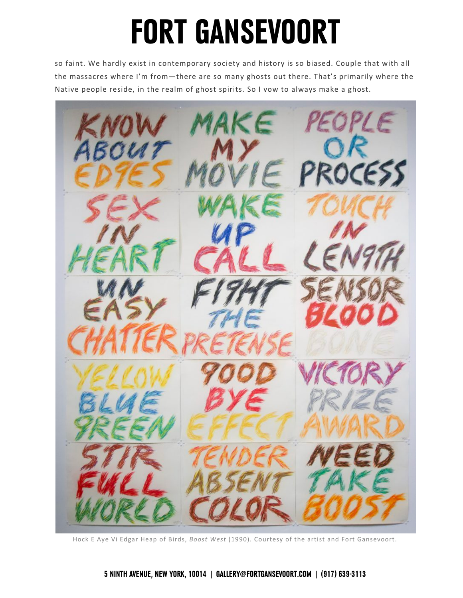so faint. We hardly exist in contemporary society and history is so biased. Couple that with all the massacres where I'm from—there are so many ghosts out there. That's primarily where the Native people reside, in the realm of ghost spirits. So I vow to always make a ghost.



Hock E Aye Vi Edgar Heap of Birds, *Boost West* (1990). Courtesy of the artist and Fort Gansevoort.

#### **5 NINTH AVENUE, NEW YORK, 10014 | [GALLERY@FORTGANSEVOORT.COM](mailto:GALLERY@FORTGANSEVOORT.COM) | (917) 639-3113**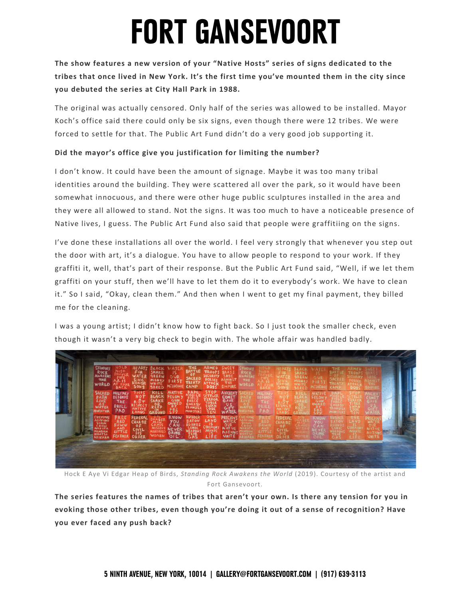**The show features a new version of your "Native Hosts" series of signs dedicated to the tribes that once lived in New York. It's the first time you've mounted them in the city since you debuted the series at City Hall Park in 1988.** 

 The original was actually censored. Only half of the series was allowed to be installed. Mayor Koch's office said there could only be six signs, even though there were 12 tribes. We were forced to settle for that. The Public Art Fund didn't do a very good job supporting it.

#### **Did the mayor's office give you justification for limiting the number?**

 I don't know. It could have been the amount of signage. Maybe it was too many tribal somewhat innocuous, and there were other huge public sculptures installed in the area and they were all allowed to stand. Not the signs. It was too much to have a noticeable presence of Native lives, I guess. The Public Art Fund also said that people were graffitiing on the signs. identities around the building. They were scattered all over the park, so it would have been

 I've done these installations all over the world. I feel very strongly that whenever you step out the door with art, it's a dialogue. You have to allow people to respond to your work. If they graffiti it, well, that's part of their response. But the Public Art Fund said, "Well, if we let them graffiti on your stuff, then we'll have to let them do it to everybody's work. We have to clean me for the cleaning. it." So I said, "Okay, clean them." And then when I went to get my final payment, they billed

 I was a young artist; I didn't know how to fight back. So I just took the smaller check, even though it wasn't a very big check to begin with. The whole affair was handled badly.



 Hock E Aye Vi Edgar Heap of Birds, *Standing Rock Awakens the World* (2019). Courtesy of the artist and Fort Gansevoort.

 **The series features the names of tribes that aren't your own. Is there any tension for you in evoking those other tribes, even though you're doing it out of a sense of recognition? Have you ever faced any push back?**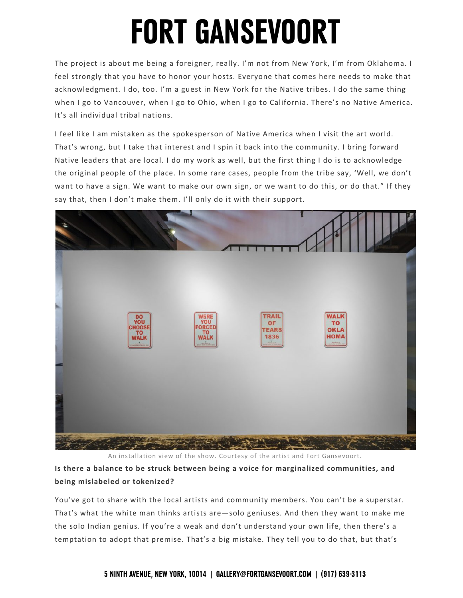The project is about me being a foreigner, really. I'm not from New York, I'm from Oklahoma. I acknowledgment. I do, too. I'm a guest in New York for the Native tribes. I do the same thing when I go to Vancouver, when I go to Ohio, when I go to California. There's no Native America. feel strongly that you have to honor your hosts. Everyone that comes here needs to make that It's all individual tribal nations.

 That's wrong, but I take that interest and I spin it back into the community. I bring forward Native leaders that are local. I do my work as well, but the first thing I do is to acknowledge the original people of the place. In some rare cases, people from the tribe say, 'Well, we don't want to have a sign. We want to make our own sign, or we want to do this, or do that." If they say that, then I don't make them. I'll only do it with their support. I feel like I am mistaken as the spokesperson of Native America when I visit the art world.



An installation view of the show. Courtesy of the artist and Fort Gansevoort.

 **Is there a balance to be struck between being a voice for marginalized communities, and being mislabeled or tokenized?** 

 You've got to share with the local artists and community members. You can't be a superstar. That's what the white man thinks artists are—solo geniuses. And then they want to make me the solo Indian genius. If you're a weak and don't understand your own life, then there's a temptation to adopt that premise. That's a big mistake. They tell you to do that, but that's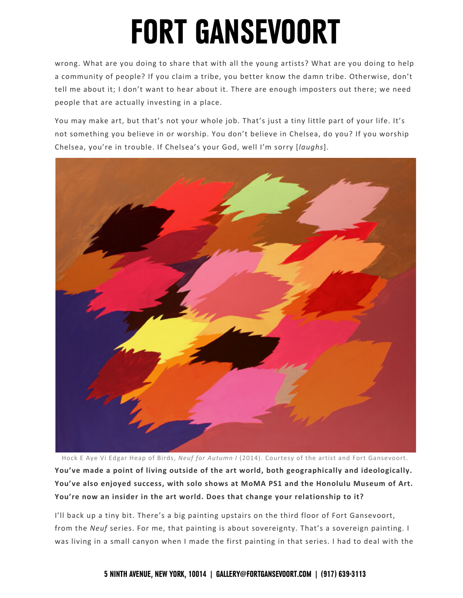wrong. What are you doing to share that with all the young artists? What are you doing to help a community of people? If you claim a tribe, you better know the damn tribe. Otherwise, don't tell me about it; I don't want to hear about it. There are enough imposters out there; we need people that are actually investing in a place.

 You may make art, but that's not your whole job. That's just a tiny little part of your life. It's not something you believe in or worship. You don't believe in Chelsea, do you? If you worship Chelsea, you're in trouble. If Chelsea's your God, well I'm sorry [*laughs*].



 Hock E Aye Vi Edgar Heap of Birds, *Neuf for Autumn I* (2014). Courtesy of the artist and Fort Gansevoort.  **You've made a point of living outside of the art world, both geographically and ideologically. You've also enjoyed success, with solo shows at MoMA PS1 and the Honolulu Museum of Art. You're now an insider in the art world. Does that change your relationship to it?** 

 from the *Neuf* series. For me, that painting is about sovereignty. That's a sovereign painting. I was living in a small canyon when I made the first painting in that series. I had to deal with the I'll back up a tiny bit. There's a big painting upstairs on the third floor of Fort Gansevoort,